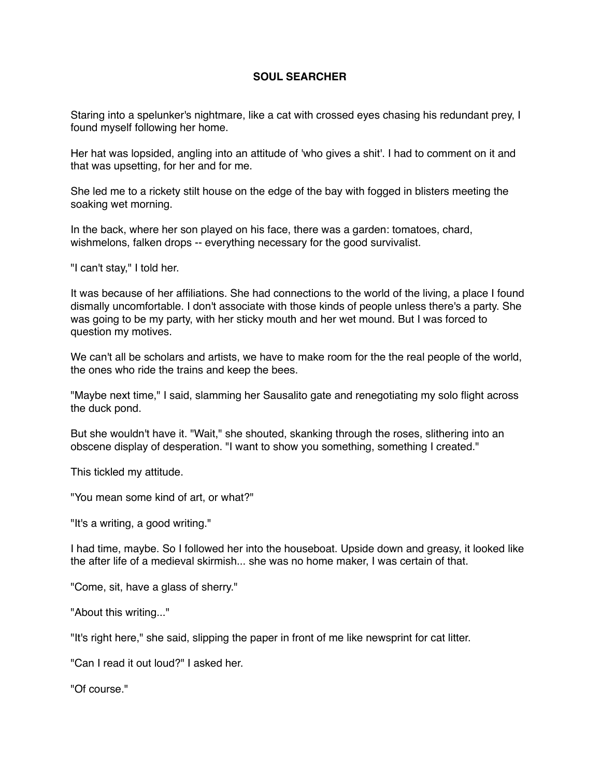## **SOUL SEARCHER**

Staring into a spelunker's nightmare, like a cat with crossed eyes chasing his redundant prey, I found myself following her home.

Her hat was lopsided, angling into an attitude of 'who gives a shit'. I had to comment on it and that was upsetting, for her and for me.

She led me to a rickety stilt house on the edge of the bay with fogged in blisters meeting the soaking wet morning.

In the back, where her son played on his face, there was a garden: tomatoes, chard, wishmelons, falken drops -- everything necessary for the good survivalist.

"I can't stay," I told her.

It was because of her affiliations. She had connections to the world of the living, a place I found dismally uncomfortable. I don't associate with those kinds of people unless there's a party. She was going to be my party, with her sticky mouth and her wet mound. But I was forced to question my motives.

We can't all be scholars and artists, we have to make room for the the real people of the world, the ones who ride the trains and keep the bees.

"Maybe next time," I said, slamming her Sausalito gate and renegotiating my solo flight across the duck pond.

But she wouldn't have it. "Wait," she shouted, skanking through the roses, slithering into an obscene display of desperation. "I want to show you something, something I created."

This tickled my attitude.

"You mean some kind of art, or what?"

"It's a writing, a good writing."

I had time, maybe. So I followed her into the houseboat. Upside down and greasy, it looked like the after life of a medieval skirmish... she was no home maker, I was certain of that.

"Come, sit, have a glass of sherry."

"About this writing..."

"It's right here," she said, slipping the paper in front of me like newsprint for cat litter.

"Can I read it out loud?" I asked her.

"Of course."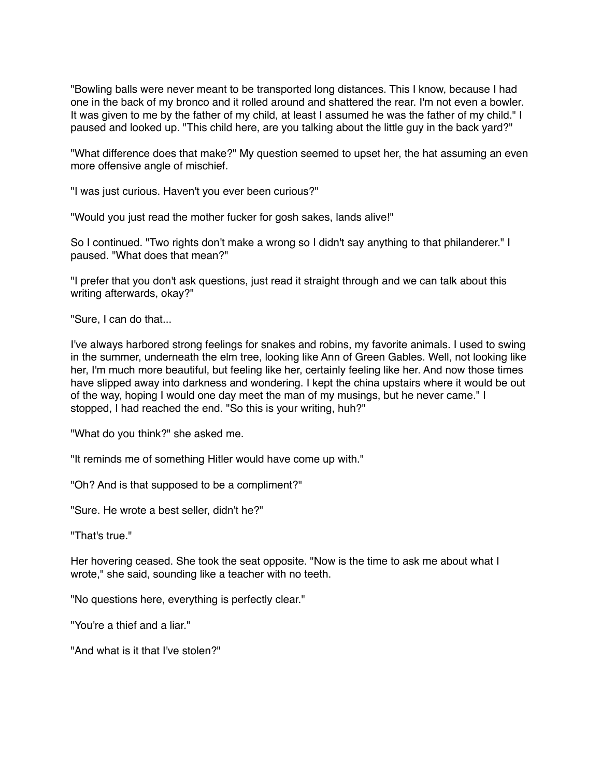"Bowling balls were never meant to be transported long distances. This I know, because I had one in the back of my bronco and it rolled around and shattered the rear. I'm not even a bowler. It was given to me by the father of my child, at least I assumed he was the father of my child." I paused and looked up. "This child here, are you talking about the little guy in the back yard?"

"What difference does that make?" My question seemed to upset her, the hat assuming an even more offensive angle of mischief.

"I was just curious. Haven't you ever been curious?"

"Would you just read the mother fucker for gosh sakes, lands alive!"

So I continued. "Two rights don't make a wrong so I didn't say anything to that philanderer." I paused. "What does that mean?"

"I prefer that you don't ask questions, just read it straight through and we can talk about this writing afterwards, okay?"

"Sure, I can do that...

I've always harbored strong feelings for snakes and robins, my favorite animals. I used to swing in the summer, underneath the elm tree, looking like Ann of Green Gables. Well, not looking like her, I'm much more beautiful, but feeling like her, certainly feeling like her. And now those times have slipped away into darkness and wondering. I kept the china upstairs where it would be out of the way, hoping I would one day meet the man of my musings, but he never came." I stopped, I had reached the end. "So this is your writing, huh?"

"What do you think?" she asked me.

"It reminds me of something Hitler would have come up with."

"Oh? And is that supposed to be a compliment?"

"Sure. He wrote a best seller, didn't he?"

"That's true."

Her hovering ceased. She took the seat opposite. "Now is the time to ask me about what I wrote," she said, sounding like a teacher with no teeth.

"No questions here, everything is perfectly clear."

"You're a thief and a liar."

"And what is it that I've stolen?"